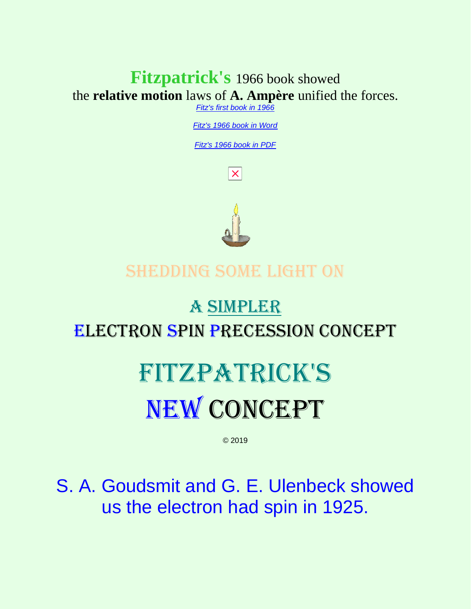### **Fitzpatrick's** 1966 book showed the **relative motion** laws of **A. Ampère** unified the forces.

*[Fitz's first book in 1966](http://rbduncan.com/1966.html)*

*[Fitz's 1966 book in Word](http://rbduncan.com/1966.doc)*

*[Fitz's 1966 book in PDF](http://rbduncan.com/1966.pdf)*

 $|\times|$ 



### Shedding some light on

# a SIMPLER Electron Spin Precession Concept

# Fitzpatrick's NEW CONCEPT

© 2019

S. A. Goudsmit and G. E. Ulenbeck showed us the electron had spin in 1925.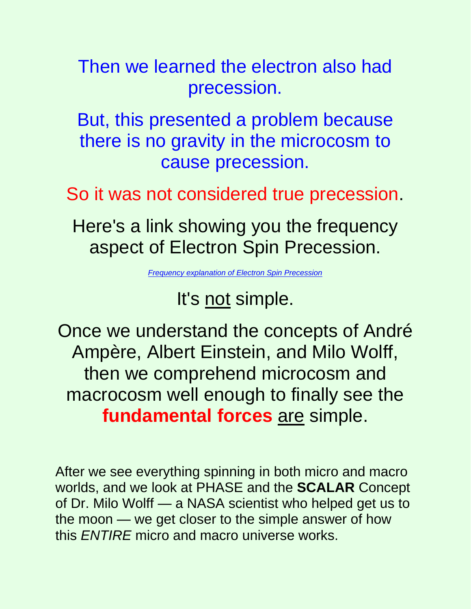Then we learned the electron also had precession.

But, this presented a problem because there is no gravity in the microcosm to cause precession.

So it was not considered true precession.

Here's a link showing you the frequency aspect of Electron Spin Precession.

*[Frequency explanation of Electron Spin Precession](https://link.springer.com/article/10.1007/s11671-009-9283-0)*

### It's not simple.

Once we understand the concepts of André Ampère, Albert Einstein, and Milo Wolff, then we comprehend microcosm and macrocosm well enough to finally see the **fundamental forces** are simple.

After we see everything spinning in both micro and macro worlds, and we look at PHASE and the **SCALAR** Concept of Dr. Milo Wolff — a NASA scientist who helped get us to the moon — we get closer to the simple answer of how this *ENTIRE* micro and macro universe works.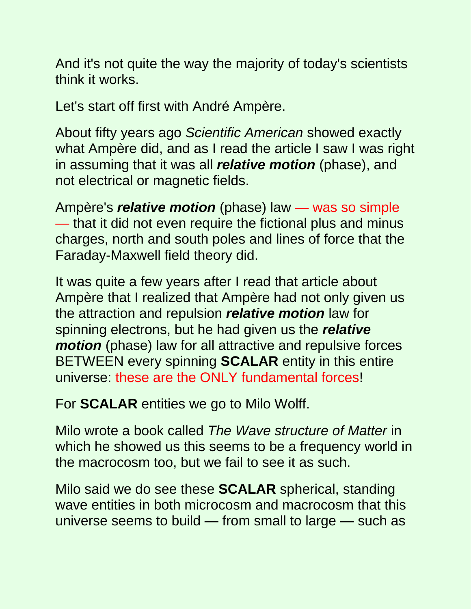And it's not quite the way the majority of today's scientists think it works.

Let's start off first with André Ampère.

About fifty years ago *Scientific American* showed exactly what Ampère did, and as I read the article I saw I was right in assuming that it was all *relative motion* (phase), and not electrical or magnetic fields.

Ampère's *relative motion* (phase) law — was so simple — that it did not even require the fictional plus and minus charges, north and south poles and lines of force that the Faraday-Maxwell field theory did.

It was quite a few years after I read that article about Ampère that I realized that Ampère had not only given us the attraction and repulsion *relative motion* law for spinning electrons, but he had given us the *relative motion* (phase) law for all attractive and repulsive forces BETWEEN every spinning **SCALAR** entity in this entire universe: these are the ONLY fundamental forces!

For **SCALAR** entities we go to Milo Wolff.

Milo wrote a book called *The Wave structure of Matter* in which he showed us this seems to be a frequency world in the macrocosm too, but we fail to see it as such.

Milo said we do see these **SCALAR** spherical, standing wave entities in both microcosm and macrocosm that this universe seems to build — from small to large — such as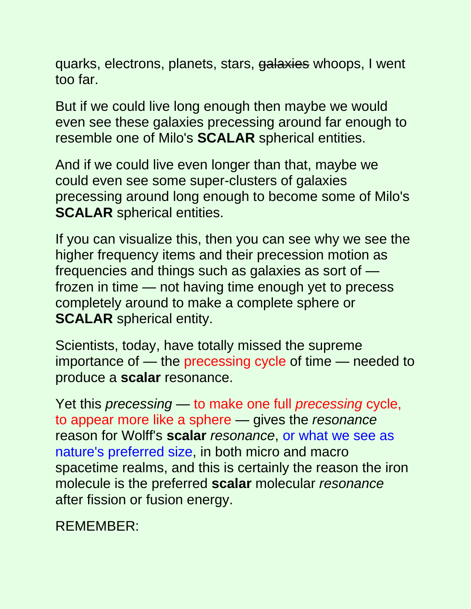quarks, electrons, planets, stars, galaxies whoops, I went too far.

But if we could live long enough then maybe we would even see these galaxies precessing around far enough to resemble one of Milo's **SCALAR** spherical entities.

And if we could live even longer than that, maybe we could even see some super-clusters of galaxies precessing around long enough to become some of Milo's **SCALAR** spherical entities.

If you can visualize this, then you can see why we see the higher frequency items and their precession motion as frequencies and things such as galaxies as sort of frozen in time — not having time enough yet to precess completely around to make a complete sphere or **SCALAR** spherical entity.

Scientists, today, have totally missed the supreme importance of — the precessing cycle of time — needed to produce a **scalar** resonance.

Yet this *precessing* — to make one full *precessing* cycle, to appear more like a sphere — gives the *resonance* reason for Wolff's **scalar** *resonance*, or what we see as nature's preferred size, in both micro and macro spacetime realms, and this is certainly the reason the iron molecule is the preferred **scalar** molecular *resonance* after fission or fusion energy.

REMEMBER: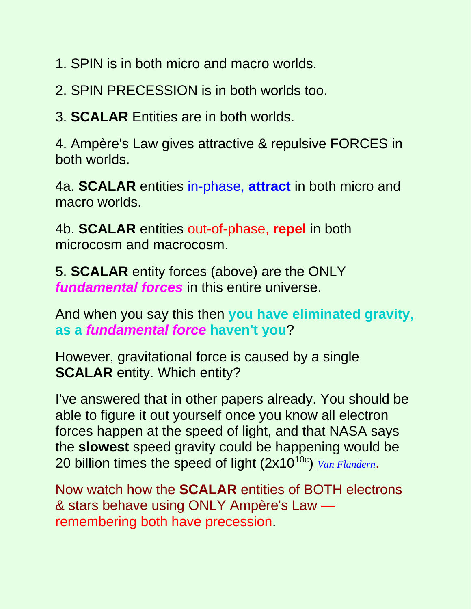1. SPIN is in both micro and macro worlds.

2. SPIN PRECESSION is in both worlds too.

3. **SCALAR** Entities are in both worlds.

4. Ampère's Law gives attractive & repulsive FORCES in both worlds.

4a. **SCALAR** entities in-phase, **attract** in both micro and macro worlds.

4b. **SCALAR** entities out-of-phase, **repel** in both microcosm and macrocosm.

5. **SCALAR** entity forces (above) are the ONLY *fundamental forces* in this entire universe.

And when you say this then **you have eliminated gravity, as a** *fundamental force* **haven't you**?

However, gravitational force is caused by a single **SCALAR** entity. Which entity?

I've answered that in other papers already. You should be able to figure it out yourself once you know all electron forces happen at the speed of light, and that NASA says the **slowest** speed gravity could be happening would be 20 billion times the speed of light (2x1010c) *[Van Flandern](http://www.ldolphin.org/vanFlandern/gravityspeed.html)*.

Now watch how the **SCALAR** entities of BOTH electrons & stars behave using ONLY Ampère's Law remembering both have precession.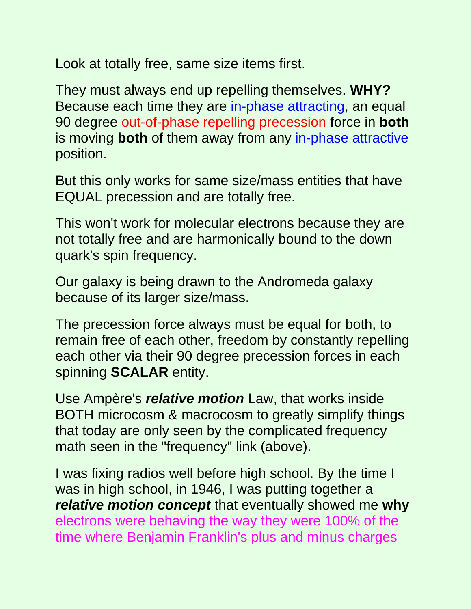Look at totally free, same size items first.

They must always end up repelling themselves. **WHY?** Because each time they are in-phase attracting, an equal 90 degree out-of-phase repelling precession force in **both** is moving **both** of them away from any in-phase attractive position.

But this only works for same size/mass entities that have EQUAL precession and are totally free.

This won't work for molecular electrons because they are not totally free and are harmonically bound to the down quark's spin frequency.

Our galaxy is being drawn to the Andromeda galaxy because of its larger size/mass.

The precession force always must be equal for both, to remain free of each other, freedom by constantly repelling each other via their 90 degree precession forces in each spinning **SCALAR** entity.

Use Ampère's *relative motion* Law, that works inside BOTH microcosm & macrocosm to greatly simplify things that today are only seen by the complicated frequency math seen in the "frequency" link (above).

I was fixing radios well before high school. By the time I was in high school, in 1946, I was putting together a *relative motion concept* that eventually showed me **why** electrons were behaving the way they were 100% of the time where Benjamin Franklin's plus and minus charges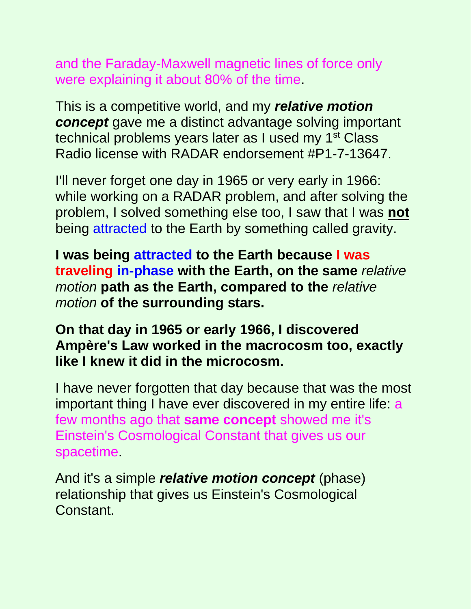and the Faraday-Maxwell magnetic lines of force only were explaining it about 80% of the time.

This is a competitive world, and my *relative motion concept* gave me a distinct advantage solving important technical problems years later as I used my 1<sup>st</sup> Class Radio license with RADAR endorsement #P1-7-13647.

I'll never forget one day in 1965 or very early in 1966: while working on a RADAR problem, and after solving the problem, I solved something else too, I saw that I was **not** being attracted to the Earth by something called gravity.

**I was being attracted to the Earth because I was traveling in-phase with the Earth, on the same** *relative motion* **path as the Earth, compared to the** *relative motion* **of the surrounding stars.**

#### **On that day in 1965 or early 1966, I discovered Ampère's Law worked in the macrocosm too, exactly like I knew it did in the microcosm.**

I have never forgotten that day because that was the most important thing I have ever discovered in my entire life: a few months ago that **same concept** showed me it's Einstein's Cosmological Constant that gives us our spacetime.

And it's a simple *relative motion concept* (phase) relationship that gives us Einstein's Cosmological Constant.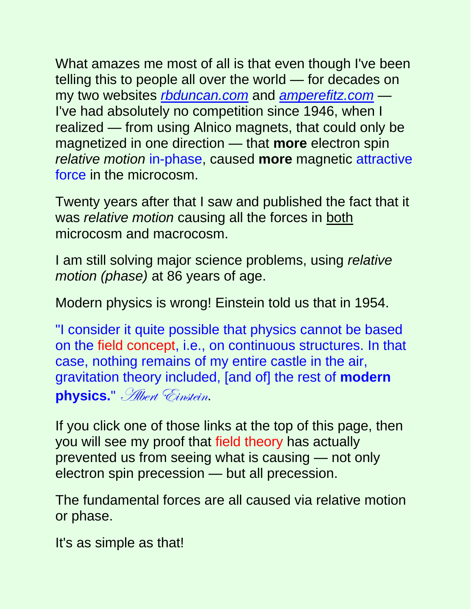What amazes me most of all is that even though I've been telling this to people all over the world — for decades on my two websites *[rbduncan.com](http://www.rbduncan.com/)* and *[amperefitz.com](http://www.amperefitz.com/)* — I've had absolutely no competition since 1946, when I realized — from using Alnico magnets, that could only be magnetized in one direction — that **more** electron spin *relative motion* in-phase, caused **more** magnetic attractive force in the microcosm.

Twenty years after that I saw and published the fact that it was *relative motion* causing all the forces in both microcosm and macrocosm.

I am still solving major science problems, using *relative motion (phase)* at 86 years of age.

Modern physics is wrong! Einstein told us that in 1954.

"I consider it quite possible that physics cannot be based on the field concept, i.e., on continuous structures. In that case, nothing remains of my entire castle in the air, gravitation theory included, [and of] the rest of **modern physics.**" Albert Einstein.

If you click one of those links at the top of this page, then you will see my proof that field theory has actually prevented us from seeing what is causing — not only electron spin precession — but all precession.

The fundamental forces are all caused via relative motion or phase.

It's as simple as that!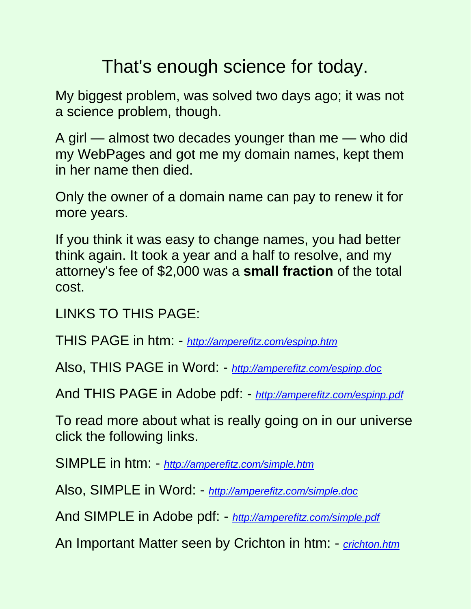## That's enough science for today.

My biggest problem, was solved two days ago; it was not a science problem, though.

A girl — almost two decades younger than me — who did my WebPages and got me my domain names, kept them in her name then died.

Only the owner of a domain name can pay to renew it for more years.

If you think it was easy to change names, you had better think again. It took a year and a half to resolve, and my attorney's fee of \$2,000 was a **small fraction** of the total cost.

LINKS TO THIS PAGE:

THIS PAGE in htm: - *<http://amperefitz.com/espinp.htm>*

Also, THIS PAGE in Word: - *<http://amperefitz.com/espinp.doc>*

And THIS PAGE in Adobe pdf: - *<http://amperefitz.com/espinp.pdf>*

To read more about what is really going on in our universe click the following links.

SIMPLE in htm: - *<http://amperefitz.com/simple.htm>*

Also, SIMPLE in Word: - *<http://amperefitz.com/simple.doc>*

And SIMPLE in Adobe pdf: - *<http://amperefitz.com/simple.pdf>*

An Important Matter seen by Crichton in htm: - *[crichton.htm](http://amperefitz.com/crichton.htm)*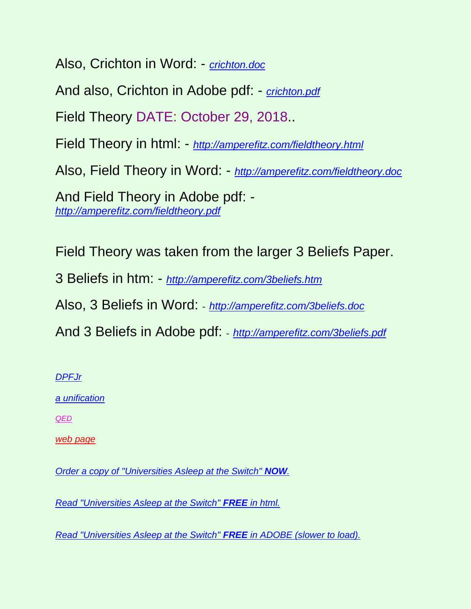Also, Crichton in Word: - *[crichton.doc](http://amperefitz.com/crichton.doc)*

And also, Crichton in Adobe pdf: - *[crichton.pdf](http://amperefitz.com/crichton.pdf)*

Field Theory DATE: October 29, 2018..

Field Theory in html: - *<http://amperefitz.com/fieldtheory.html>*

Also, Field Theory in Word: - *<http://amperefitz.com/fieldtheory.doc>*

And Field Theory in Adobe pdf: *<http://amperefitz.com/fieldtheory.pdf>*

Field Theory was taken from the larger 3 Beliefs Paper.

3 Beliefs in htm: - *<http://amperefitz.com/3beliefs.htm>*

Also, 3 Beliefs in Word: - *<http://amperefitz.com/3beliefs.doc>*

And 3 Beliefs in Adobe pdf: - *<http://amperefitz.com/3beliefs.pdf>*

*[DPFJr](http://www.rbduncan.com/DPFJr)*

*[a unification](http://www.rbduncan.com/fview2.htm)*

*[QED](http://www.rbduncan.com/feynm1.htm)*

*[web page](http://www.rbduncan.com/)*

*[Order a copy of "Universities Asleep at the Switch"](http://www.lulu.com/quantumleap) NOW.*

*[Read "Universities Asleep at the Switch"](http://www.amperefitz.com/unvasleep.htm) FREE in html.*

*[Read "Universities Asleep at the Switch"](http://www.amperefitz.com/ua_20071020_ck_ds_jm_ds.pdf) FREE in ADOBE (slower to load).*